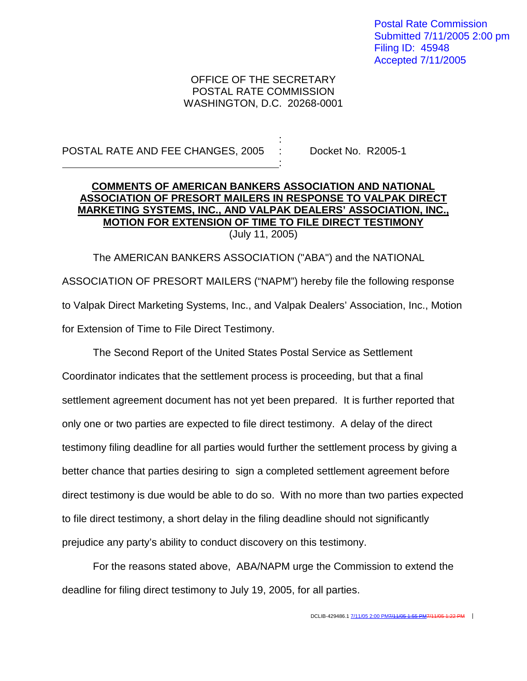Postal Rate Commission Submitted 7/11/2005 2:00 pm Filing ID: 45948 Accepted 7/11/2005

## OFFICE OF THE SECRETARY POSTAL RATE COMMISSION WASHINGTON, D.C. 20268-0001

:

:

## POSTAL RATE AND FEE CHANGES, 2005 : Docket No. R2005-1

## **COMMENTS OF AMERICAN BANKERS ASSOCIATION AND NATIONAL ASSOCIATION OF PRESORT MAILERS IN RESPONSE TO VALPAK DIRECT MARKETING SYSTEMS, INC., AND VALPAK DEALERS' ASSOCIATION, INC., MOTION FOR EXTENSION OF TIME TO FILE DIRECT TESTIMONY** (July 11, 2005)

The AMERICAN BANKERS ASSOCIATION ("ABA") and the NATIONAL ASSOCIATION OF PRESORT MAILERS ("NAPM") hereby file the following response to Valpak Direct Marketing Systems, Inc., and Valpak Dealers' Association, Inc., Motion for Extension of Time to File Direct Testimony.

The Second Report of the United States Postal Service as Settlement Coordinator indicates that the settlement process is proceeding, but that a final settlement agreement document has not yet been prepared. It is further reported that only one or two parties are expected to file direct testimony. A delay of the direct testimony filing deadline for all parties would further the settlement process by giving a better chance that parties desiring to sign a completed settlement agreement before direct testimony is due would be able to do so. With no more than two parties expected to file direct testimony, a short delay in the filing deadline should not significantly prejudice any party's ability to conduct discovery on this testimony.

For the reasons stated above, ABA/NAPM urge the Commission to extend the deadline for filing direct testimony to July 19, 2005, for all parties.